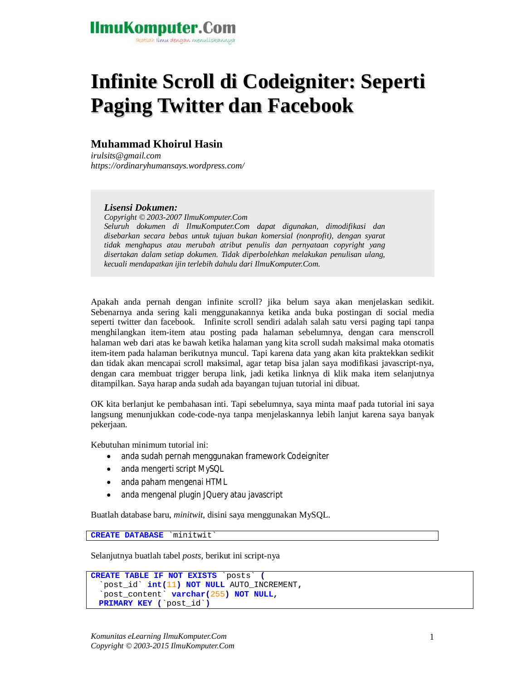### **IlmuKomputer.Com** tkatlah ilmu dengan menuliskannya

# **Infinite Scroll di Codeigniter: Seperti Paging Twitter dan Facebook**

### **Muhammad Khoirul Hasin**

*irulsits@gmail.com https://ordinaryhumansays.wordpress.com/*

*Lisensi Dokumen:*

*Copyright © 2003-2007 IlmuKomputer.Com Seluruh dokumen di IlmuKomputer.Com dapat digunakan, dimodifikasi dan disebarkan secara bebas untuk tujuan bukan komersial (nonprofit), dengan syarat tidak menghapus atau merubah atribut penulis dan pernyataan copyright yang disertakan dalam setiap dokumen. Tidak diperbolehkan melakukan penulisan ulang, kecuali mendapatkan ijin terlebih dahulu dari IlmuKomputer.Com.*

Apakah anda pernah dengan infinite scroll? jika belum saya akan menjelaskan sedikit. Sebenarnya anda sering kali menggunakannya ketika anda buka postingan di social media seperti twitter dan facebook. Infinite scroll sendiri adalah salah satu versi paging tapi tanpa menghilangkan item-item atau posting pada halaman sebelumnya, dengan cara menscroll halaman web dari atas ke bawah ketika halaman yang kita scroll sudah maksimal maka otomatis item-item pada halaman berikutnya muncul. Tapi karena data yang akan kita praktekkan sedikit dan tidak akan mencapai scroll maksimal, agar tetap bisa jalan saya modifikasi javascript-nya, dengan cara membuat trigger berupa link, jadi ketika linknya di klik maka item selanjutnya ditampilkan. Saya harap anda sudah ada bayangan tujuan tutorial ini dibuat.

OK kita berlanjut ke pembahasan inti. Tapi sebelumnya, saya minta maaf pada tutorial ini saya langsung menunjukkan code-code-nya tanpa menjelaskannya lebih lanjut karena saya banyak pekerjaan.

Kebutuhan minimum tutorial ini:

- anda sudah pernah menggunakan framework Codeigniter
- anda mengerti script MySQL
- anda paham mengenai HTML
- anda mengenal plugin JQuery atau javascript

Buatlah database baru, *minitwit*, disini saya menggunakan MySQL.

**CREATE DATABASE** `minitwit`

Selanjutnya buatlah tabel *posts*, berikut ini script-nya

```
CREATE TABLE IF NOT EXISTS `posts` (
   `post_id` int(11) NOT NULL AUTO_INCREMENT,
   `post_content` varchar(255) NOT NULL,
  PRIMARY KEY (`post_id`)
```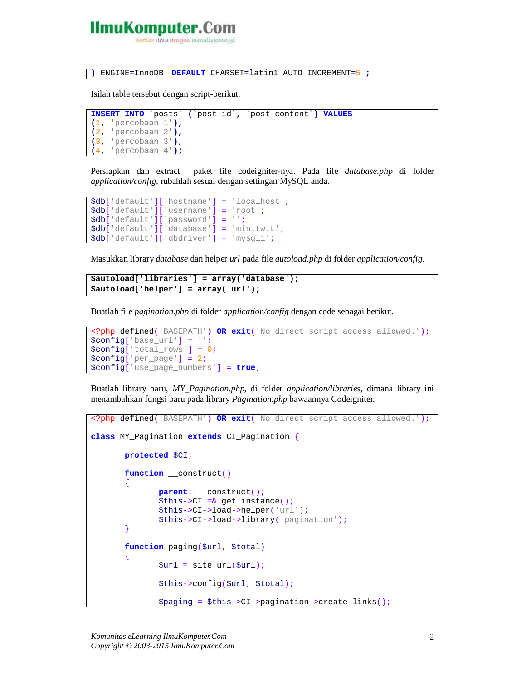# **IlmuKomputer.C**

tkatlah ilmu dengan menuliskannya

**)** ENGINE**=**InnoDB **DEFAULT** CHARSET**=**latin1 AUTO\_INCREMENT**=**5 **;**

Isilah table tersebut dengan script-berikut.

```
INSERT INTO `posts` (`post_id`, `post_content`) VALUES
(1, 'percobaan 1'),
(2, 'percobaan 2'),
(3, 'percobaan 3'),
(4, 'percobaan 4');
```
Persiapkan dan extract paket file codeigniter-nya. Pada file *database.php* di folder *application/config*, rubahlah sesuai dengan settingan MySQL anda.

```
$db['default']['hostname'] = 'localhost';
$db['default']['username'] = 'root';
$db['default']['password'] = '';
$db['default']['database'] = 'minitwit';
$db['default']['dbdriver'] = 'mysqli';
```
Masukkan library *database* dan helper *url* pada file *autoload.php* di folder *application/config*.

```
$autoload['libraries'] = array('database');
$autoload['helper'] = array('url');
```
Buatlah file *pagination.php* di folder *application/config* dengan code sebagai berikut.

```
<?php defined('BASEPATH') OR exit('No direct script access allowed.');
$config['base_url'] = '';
$config['total_rows'] = 0;
$config['per_page'] = 2;
$config['use_page_numbers'] = true;
```
Buatlah library baru, *MY\_Pagination.php*, di folder *application/libraries*, dimana library ini menambahkan fungsi baru pada library *Pagination.php* bawaannya Codeigniter.

```
<?php defined('BASEPATH') OR exit('No direct script access allowed.');
class MY_Pagination extends CI_Pagination {
       protected $CI;
       function __construct()
       {
              parent::__construct();
              $this->CI =& get_instance();
               $this->CI->load->helper('url');
               $this->CI->load->library('pagination');
       }
       function paging($url, $total)
       {
               \text{Surl} = \text{site url}(\text{Surl});$this->config($url, $total);
               $paging = $this->CI->pagination->create_links();
```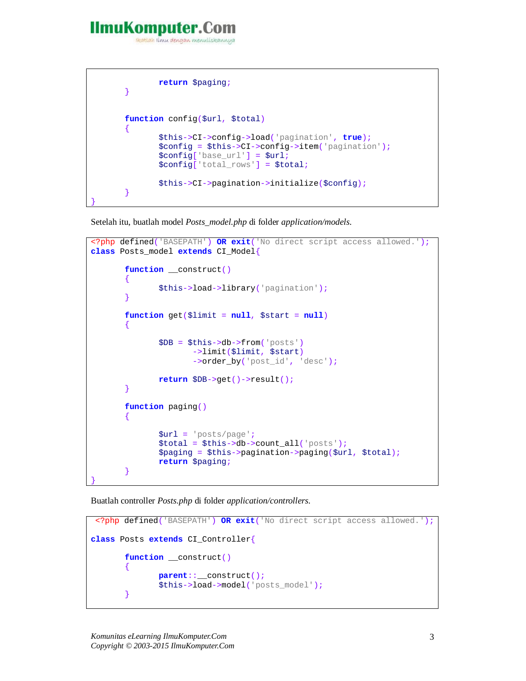## IlmuKomputer.

reatlah iimu dengan menuliskannya

```
return $paging;
       }
      function config($url, $total)
       {
              $this->CI->config->load('pagination', true);
              $config = $this->CI->config->item('pagination');
              $config['base_url'] = $url;
              $config['total_rows'] = $total;
              $this->CI->pagination->initialize($config);
       }
}
```
Setelah itu, buatlah model *Posts\_model.php* di folder *application/models.*

```
<?php defined('BASEPATH') OR exit('No direct script access allowed.');
class Posts_model extends CI_Model{
       function __construct()
       {
              $this->load->library('pagination');
       }
       function get($limit = null, $start = null)
       {
              $DB = $this->db->from('posts')
                     ->limit($limit, $start)
                     ->order_by('post_id', 'desc');
              return $DB->get()->result();
       }
       function paging()
       {
              $url = 'posts/page';
              $total = $this->db->count_all('posts');
              $paging = $this->pagination->paging($url, $total);
              return $paging;
       }
}
```
Buatlah controller *Posts.php* di folder *application/controllers.*

```
<?php defined('BASEPATH') OR exit('No direct script access allowed.');
class Posts extends CI_Controller{
       function __construct()
       {
              parent::__construct();
              $this->load->model('posts_model');
       }
```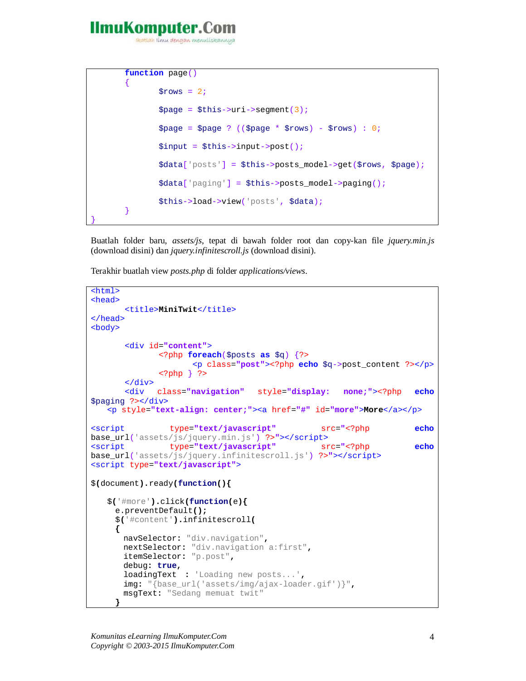## IlmuKomputer.

}

reatlah iimu dengan menuliskannya

```
function page()
{
       $rows = 2;$page = $this->uri->segment(3);$page = $page ? (($page * $rows) - $rows) : 0;
       $input = $this->input->post();
       $data['posts'] = $this->posts_model->get($rows, $page);
       $data['paging'] = $this->posts_model->paging();
       $this->load->view('posts', $data);
}
```
Buatlah folder baru, *assets/js*, tepat di bawah folder root dan copy-kan file *jquery.min.js* (download disini) dan *jquery.infinitescroll.js* (download disini).

Terakhir buatlah view *posts.php* di folder *applications/views*.

```
<html>
<head>
       <title>MiniTwit</title>
</head>
<body>
       <div id="content">
             <?php foreach($posts as $q) {?>
                    <p class="post"><?php echo $q->post_content ?></p>
              <?php } ?>
       </div>
       <div class="navigation" style="display: none;"><?php echo
$paging ?></div>
    <p style="text-align: center;"><a href="#" id="more">More</a></p>
<script type="text/javascript" src="<?php echo
base_url('assets/js/jquery.min.js') ?>"></script>
<script type="text/javascript" src="<?php echo
base_url('assets/js/jquery.infinitescroll.js') ?>"></script>
<script type="text/javascript">
$(document).ready(function(){
    $('#more').click(function(e){
     e.preventDefault();
      $('#content').infinitescroll(
      {
       navSelector: "div.navigation", 
       nextSelector: "div.navigation a:first", 
       itemSelector: "p.post",
       debug: true,
       loadingText : 'Loading new posts...',
       img: "{base_url('assets/img/ajax-loader.gif')}",
       msgText: "Sedang memuat twit"
```
**}**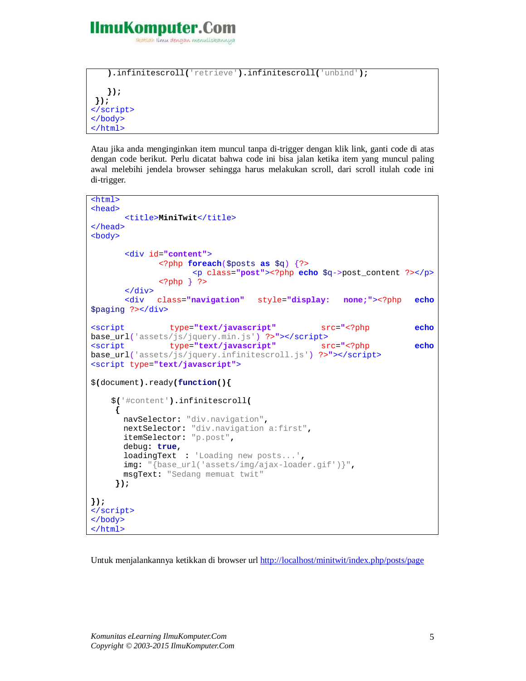

```
 ).infinitescroll('retrieve').infinitescroll('unbind');
    });
});
</script>
</body>
</html>
```
Atau jika anda menginginkan item muncul tanpa di-trigger dengan klik link, ganti code di atas dengan code berikut. Perlu dicatat bahwa code ini bisa jalan ketika item yang muncul paling awal melebihi jendela browser sehingga harus melakukan scroll, dari scroll itulah code ini di-trigger.

```
<html>
<head>
      <title>MiniTwit</title>
</head>
<body>
      <div id="content">
             <?php foreach($posts as $q) {?>
                    <p class="post"><?php echo $q->post_content ?></p>
             <?php } ?>
      </div>
      <div class="navigation" style="display: none;"><?php echo
$paging ?></div>
<script type="text/javascript" src="<?php echo
base_url('assets/js/jquery.min.js') ?>"></script>
               type="text/javascript" src="<?php echo
base_url('assets/js/jquery.infinitescroll.js') ?>"></script>
<script type="text/javascript">
$(document).ready(function(){
     $('#content').infinitescroll(
      {
       navSelector: "div.navigation", 
       nextSelector: "div.navigation a:first", 
       itemSelector: "p.post",
       debug: true,
       loadingText : 'Loading new posts...',
       img: "{base_url('assets/img/ajax-loader.gif')}",
       msgText: "Sedang memuat twit"
      });
});
</script>
</body>
</html>
```
Untuk menjalankannya ketikkan di browser url http://localhost/minitwit/index.php/posts/page